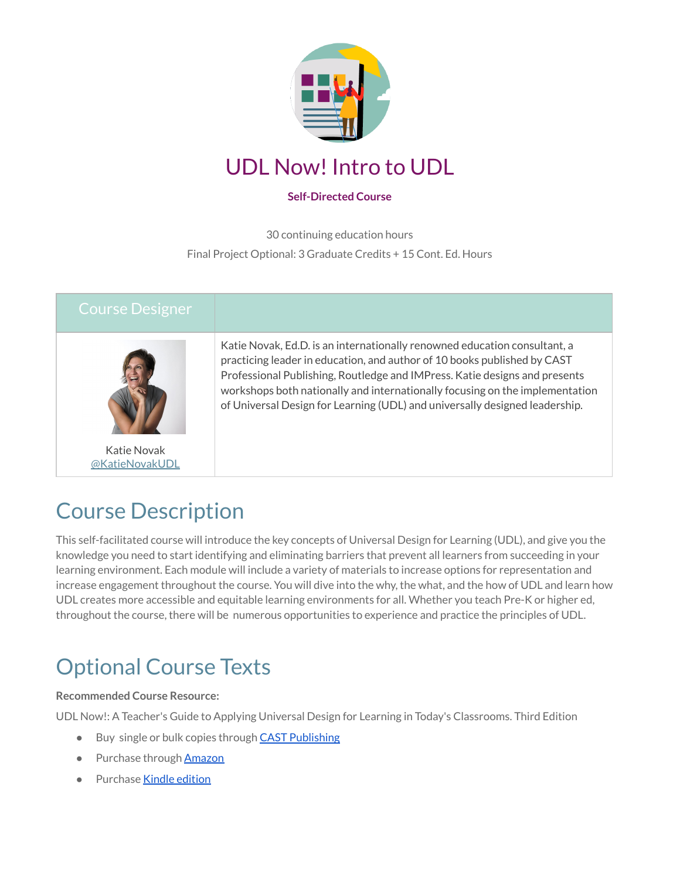

### UDL Now! Intro to UDL

#### **Self-Directed Course**

30 continuing education hours

Final Project Optional: 3 Graduate Credits + 15 Cont. Ed. Hours

| <b>Course Designer</b>        |                                                                                                                                                                                                                                                                                                                                                                                                    |
|-------------------------------|----------------------------------------------------------------------------------------------------------------------------------------------------------------------------------------------------------------------------------------------------------------------------------------------------------------------------------------------------------------------------------------------------|
|                               | Katie Novak, Ed.D. is an internationally renowned education consultant, a<br>practicing leader in education, and author of 10 books published by CAST<br>Professional Publishing, Routledge and IMPress. Katie designs and presents<br>workshops both nationally and internationally focusing on the implementation<br>of Universal Design for Learning (UDL) and universally designed leadership. |
| Katie Novak<br>@KatieNovakUDL |                                                                                                                                                                                                                                                                                                                                                                                                    |

# Course Description

This self-facilitated course will introduce the key concepts of Universal Design for Learning (UDL), and give you the knowledge you need to start identifying and eliminating barriers that prevent all learners from succeeding in your learning environment. Each module will include a variety of materials to increase options for representation and increase engagement throughout the course. You will dive into the why, the what, and the how of UDL and learn how UDL creates more accessible and equitable learning environments for all. Whether you teach Pre-K or higher ed, throughout the course, there will be numerous opportunities to experience and practice the principles of UDL.

# Optional Course Texts

#### **Recommended Course Resource:**

UDL Now!: A Teacher's Guide to Applying Universal Design for Learning in Today's Classrooms. Third Edition

- Buy single or bulk copies through CAST [Publishing](https://publishing.cast.org/catalog/books-products/udl-now-third-edition-novak)
- Purchase through [Amazon](https://www.amazon.com/UDL-Now-Teachers-Applying-Universal/dp/1930583826/ref=asc_df_1930583826/?tag=hyprod-20&linkCode=df0&hvadid=598357570970&hvpos=&hvnetw=g&hvrand=6889651631248907426&hvpone=&hvptwo=&hvqmt=&hvdev=c&hvdvcmdl=&hvlocint=&hvlocphy=9001779&hvtargid=pla-1658152072480&psc=1)
- Purchase Kindle [edition](https://www.amazon.com/UDL-Now-Teachers-Applying-Universal-ebook-dp-B0B1SNQB4T/dp/B0B1SNQB4T/ref=mt_other?_encoding=UTF8&me=&qid=)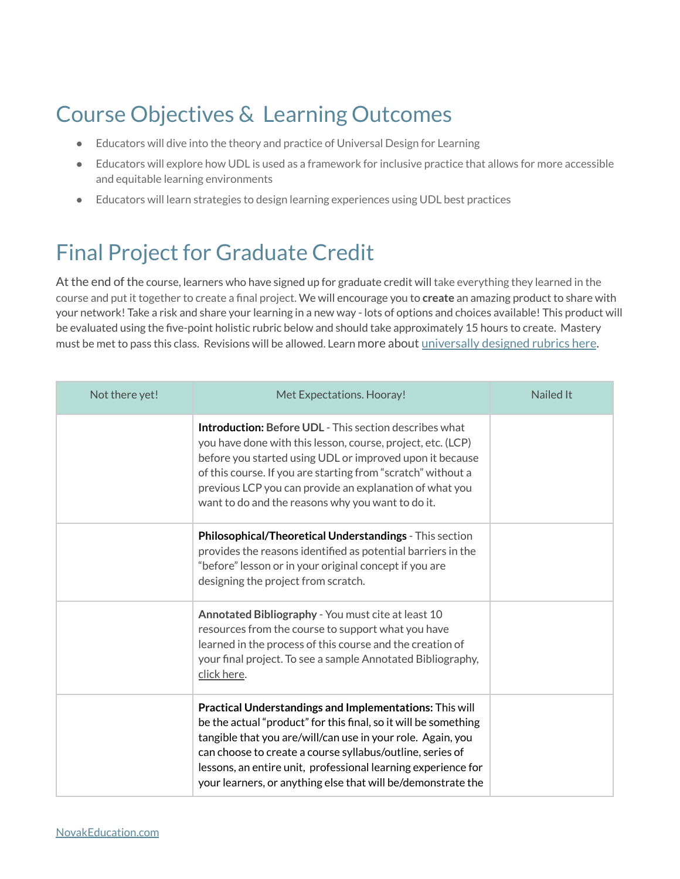# Course Objectives & Learning Outcomes

- Educators will dive into the theory and practice of Universal Design for Learning
- Educators will explore how UDL is used as a framework for inclusive practice that allows for more accessible and equitable learning environments
- Educators will learn strategies to design learning experiences using UDL best practices

# <span id="page-1-0"></span>Final Project for Graduate Credit

At the end of the course, learners who have signed up for graduate credit will take everything they learned in the course and put it together to create a final project. We will encourage you to **create** an amazing product to share with your network! Take a risk and share your learning in a new way - lots of options and choices available! This product will be evaluated using the five-point holistic rubric below and should take approximately 15 hours to create. Mastery must be met to pass this class. Revisions will be allowed. Learn more about [universally](https://www.novakeducation.com/blog/holistic-single-point-and-analytic-rubrics) designed rubrics here.

| Not there yet! | Met Expectations. Hooray!                                                                                                                                                                                                                                                                                                                                                               | <b>Nailed It</b> |
|----------------|-----------------------------------------------------------------------------------------------------------------------------------------------------------------------------------------------------------------------------------------------------------------------------------------------------------------------------------------------------------------------------------------|------------------|
|                | <b>Introduction: Before UDL - This section describes what</b><br>you have done with this lesson, course, project, etc. (LCP)<br>before you started using UDL or improved upon it because<br>of this course. If you are starting from "scratch" without a<br>previous LCP you can provide an explanation of what you<br>want to do and the reasons why you want to do it.                |                  |
|                | <b>Philosophical/Theoretical Understandings</b> - This section<br>provides the reasons identified as potential barriers in the<br>"before" lesson or in your original concept if you are<br>designing the project from scratch.                                                                                                                                                         |                  |
|                | Annotated Bibliography - You must cite at least 10<br>resources from the course to support what you have<br>learned in the process of this course and the creation of<br>your final project. To see a sample Annotated Bibliography,<br>click here.                                                                                                                                     |                  |
|                | Practical Understandings and Implementations: This will<br>be the actual "product" for this final, so it will be something<br>tangible that you are/will/can use in your role. Again, you<br>can choose to create a course syllabus/outline, series of<br>lessons, an entire unit, professional learning experience for<br>your learners, or anything else that will be/demonstrate the |                  |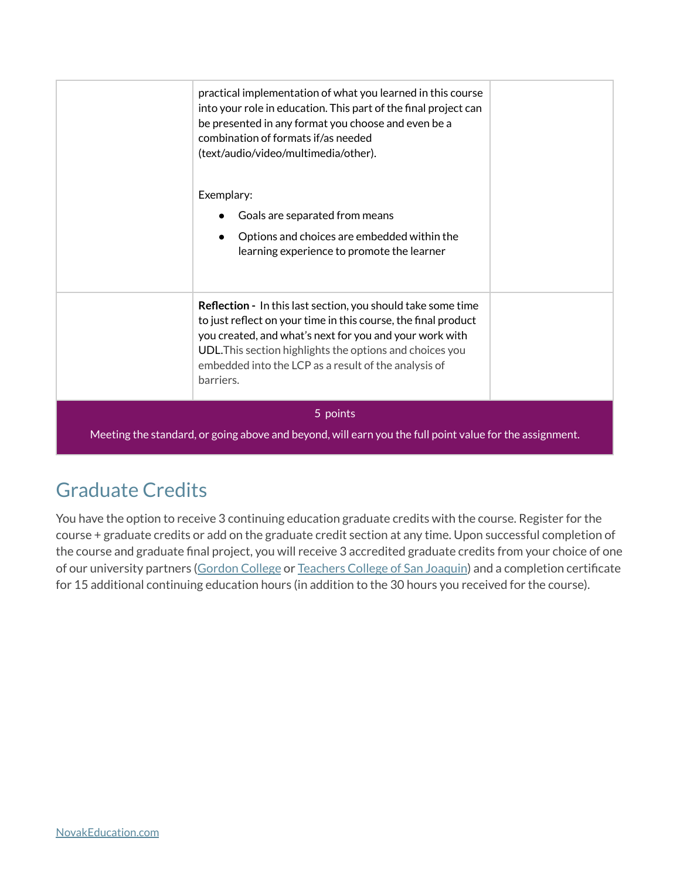|                                                                                                         | practical implementation of what you learned in this course<br>into your role in education. This part of the final project can<br>be presented in any format you choose and even be a<br>combination of formats if/as needed<br>(text/audio/video/multimedia/other).<br>Exemplary:<br>Goals are separated from means       |  |
|---------------------------------------------------------------------------------------------------------|----------------------------------------------------------------------------------------------------------------------------------------------------------------------------------------------------------------------------------------------------------------------------------------------------------------------------|--|
|                                                                                                         | Options and choices are embedded within the<br>learning experience to promote the learner                                                                                                                                                                                                                                  |  |
|                                                                                                         | Reflection - In this last section, you should take some time<br>to just reflect on your time in this course, the final product<br>you created, and what's next for you and your work with<br>UDL. This section highlights the options and choices you<br>embedded into the LCP as a result of the analysis of<br>barriers. |  |
|                                                                                                         | 5 points                                                                                                                                                                                                                                                                                                                   |  |
| Meeting the standard, or going above and beyond, will earn you the full point value for the assignment. |                                                                                                                                                                                                                                                                                                                            |  |

### Graduate Credits

You have the option to receive 3 continuing education graduate credits with the course. Register for the course + graduate credits or add on the graduate credit section at any time. Upon successful completion of the course and graduate final project, you will receive 3 accredited graduate credits from your choice of one of our university partners ([Gordon](https://www.novakeducation.com/gordon-college) College or [Teachers](https://www.novakeducation.com/en/teachers-college) College of San Joaquin) and a completion certificate for 15 additional continuing education hours (in addition to the 30 hours you received for the course).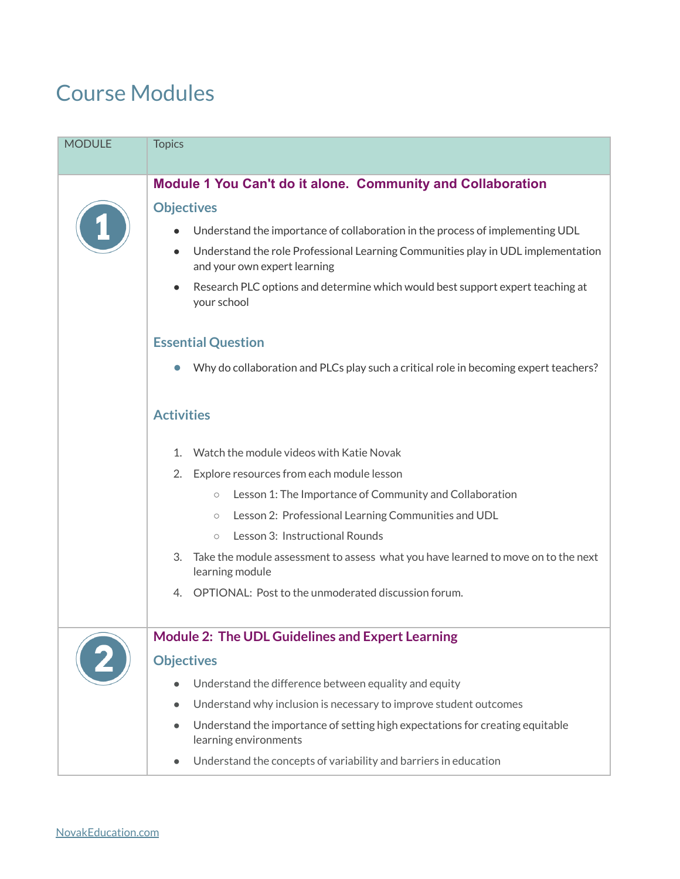### Course Modules

| <b>MODULE</b> | <b>Topics</b>                                                                                                    |
|---------------|------------------------------------------------------------------------------------------------------------------|
|               | <b>Module 1 You Can't do it alone. Community and Collaboration</b>                                               |
|               | <b>Objectives</b>                                                                                                |
|               | Understand the importance of collaboration in the process of implementing UDL                                    |
|               | Understand the role Professional Learning Communities play in UDL implementation<br>and your own expert learning |
|               | Research PLC options and determine which would best support expert teaching at<br>your school                    |
|               | <b>Essential Question</b>                                                                                        |
|               | Why do collaboration and PLCs play such a critical role in becoming expert teachers?                             |
|               | <b>Activities</b>                                                                                                |
|               | Watch the module videos with Katie Novak<br>1.                                                                   |
|               | 2. Explore resources from each module lesson                                                                     |
|               | Lesson 1: The Importance of Community and Collaboration<br>$\bigcirc$                                            |
|               | Lesson 2: Professional Learning Communities and UDL<br>$\circ$                                                   |
|               | Lesson 3: Instructional Rounds<br>$\circ$                                                                        |
|               | 3.<br>Take the module assessment to assess what you have learned to move on to the next<br>learning module       |
|               | 4. OPTIONAL: Post to the unmoderated discussion forum.                                                           |
|               | <b>Module 2: The UDL Guidelines and Expert Learning</b>                                                          |
|               | <b>Objectives</b>                                                                                                |
|               | Understand the difference between equality and equity                                                            |
|               | Understand why inclusion is necessary to improve student outcomes<br>$\bullet$                                   |
|               | Understand the importance of setting high expectations for creating equitable<br>learning environments           |
|               | Understand the concepts of variability and barriers in education                                                 |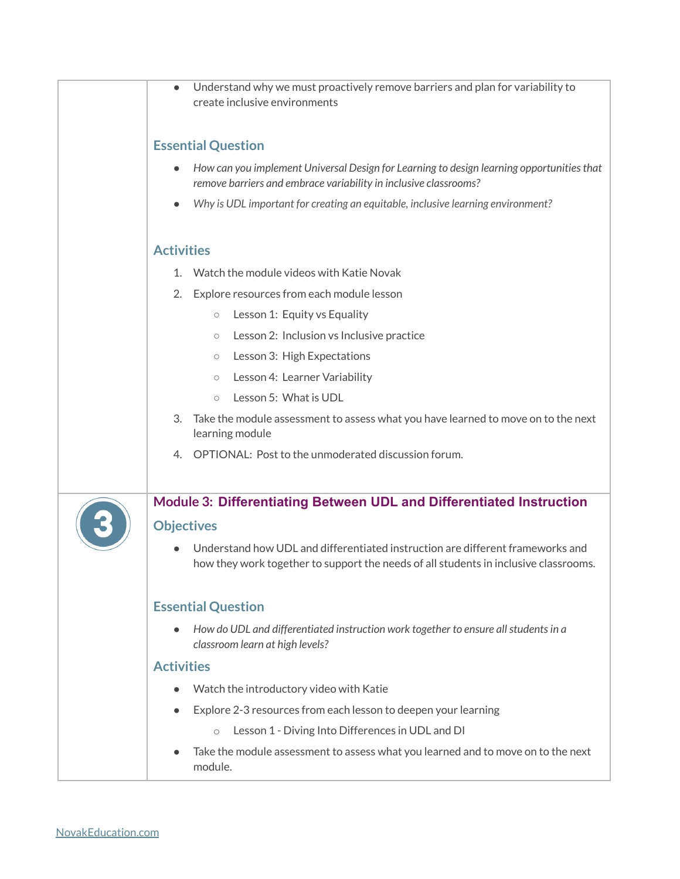| Understand why we must proactively remove barriers and plan for variability to<br>create inclusive environments                                                        |
|------------------------------------------------------------------------------------------------------------------------------------------------------------------------|
| <b>Essential Question</b>                                                                                                                                              |
| How can you implement Universal Design for Learning to design learning opportunities that<br>remove barriers and embrace variability in inclusive classrooms?          |
| Why is UDL important for creating an equitable, inclusive learning environment?                                                                                        |
| <b>Activities</b>                                                                                                                                                      |
| Watch the module videos with Katie Novak<br>$1_{-}$                                                                                                                    |
| Explore resources from each module lesson<br>2.                                                                                                                        |
| Lesson 1: Equity vs Equality<br>$\circlearrowright$                                                                                                                    |
| Lesson 2: Inclusion vs Inclusive practice<br>$\circlearrowright$                                                                                                       |
| Lesson 3: High Expectations<br>$\circlearrowright$                                                                                                                     |
| Lesson 4: Learner Variability<br>$\circlearrowright$                                                                                                                   |
| Lesson 5: What is UDL<br>$\circ$                                                                                                                                       |
| Take the module assessment to assess what you have learned to move on to the next<br>3.<br>learning module                                                             |
| OPTIONAL: Post to the unmoderated discussion forum.<br>4.                                                                                                              |
| Module 3: Differentiating Between UDL and Differentiated Instruction                                                                                                   |
| <b>Objectives</b>                                                                                                                                                      |
| Understand how UDL and differentiated instruction are different frameworks and<br>how they work together to support the needs of all students in inclusive classrooms. |
| <b>Essential Question</b>                                                                                                                                              |
| How do UDL and differentiated instruction work together to ensure all students in a<br>classroom learn at high levels?                                                 |
| <b>Activities</b>                                                                                                                                                      |
| Watch the introductory video with Katie                                                                                                                                |
| Explore 2-3 resources from each lesson to deepen your learning                                                                                                         |
| Lesson 1 - Diving Into Differences in UDL and DI<br>$\circ$                                                                                                            |
| Take the module assessment to assess what you learned and to move on to the next<br>module.                                                                            |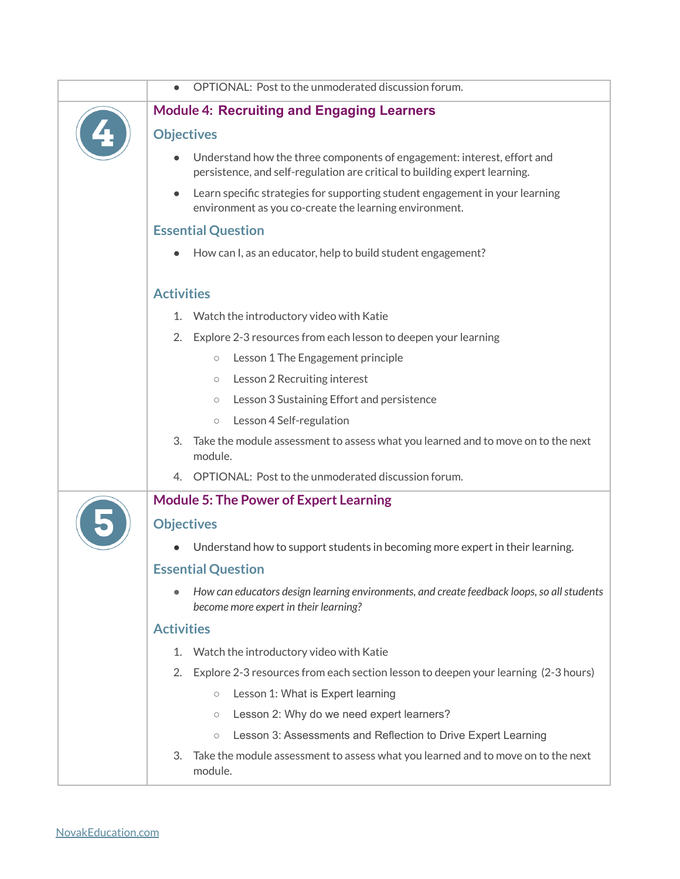| OPTIONAL: Post to the unmoderated discussion forum.                                                                                                   |
|-------------------------------------------------------------------------------------------------------------------------------------------------------|
| <b>Module 4: Recruiting and Engaging Learners</b>                                                                                                     |
| <b>Objectives</b>                                                                                                                                     |
| Understand how the three components of engagement: interest, effort and<br>persistence, and self-regulation are critical to building expert learning. |
| Learn specific strategies for supporting student engagement in your learning<br>environment as you co-create the learning environment.                |
| <b>Essential Question</b>                                                                                                                             |
| How can I, as an educator, help to build student engagement?                                                                                          |
| <b>Activities</b>                                                                                                                                     |
| Watch the introductory video with Katie<br>1.                                                                                                         |
| 2. Explore 2-3 resources from each lesson to deepen your learning                                                                                     |
| Lesson 1 The Engagement principle<br>$\bigcirc$                                                                                                       |
| Lesson 2 Recruiting interest<br>$\circlearrowright$                                                                                                   |
| Lesson 3 Sustaining Effort and persistence<br>$\circlearrowright$                                                                                     |
| Lesson 4 Self-regulation<br>$\circlearrowright$                                                                                                       |
| 3.<br>Take the module assessment to assess what you learned and to move on to the next<br>module.                                                     |
| 4. OPTIONAL: Post to the unmoderated discussion forum.                                                                                                |
| <b>Module 5: The Power of Expert Learning</b>                                                                                                         |
| <b>Objectives</b>                                                                                                                                     |
| Understand how to support students in becoming more expert in their learning.                                                                         |
| <b>Essential Question</b>                                                                                                                             |
| How can educators design learning environments, and create feedback loops, so all students<br>become more expert in their learning?                   |
| <b>Activities</b>                                                                                                                                     |
| Watch the introductory video with Katie<br>1.                                                                                                         |
| Explore 2-3 resources from each section lesson to deepen your learning (2-3 hours)<br>2.                                                              |
| Lesson 1: What is Expert learning<br>$\bigcirc$                                                                                                       |
| Lesson 2: Why do we need expert learners?<br>$\bigcirc$                                                                                               |
| Lesson 3: Assessments and Reflection to Drive Expert Learning<br>$\circlearrowright$                                                                  |
| Take the module assessment to assess what you learned and to move on to the next<br>3.<br>module.                                                     |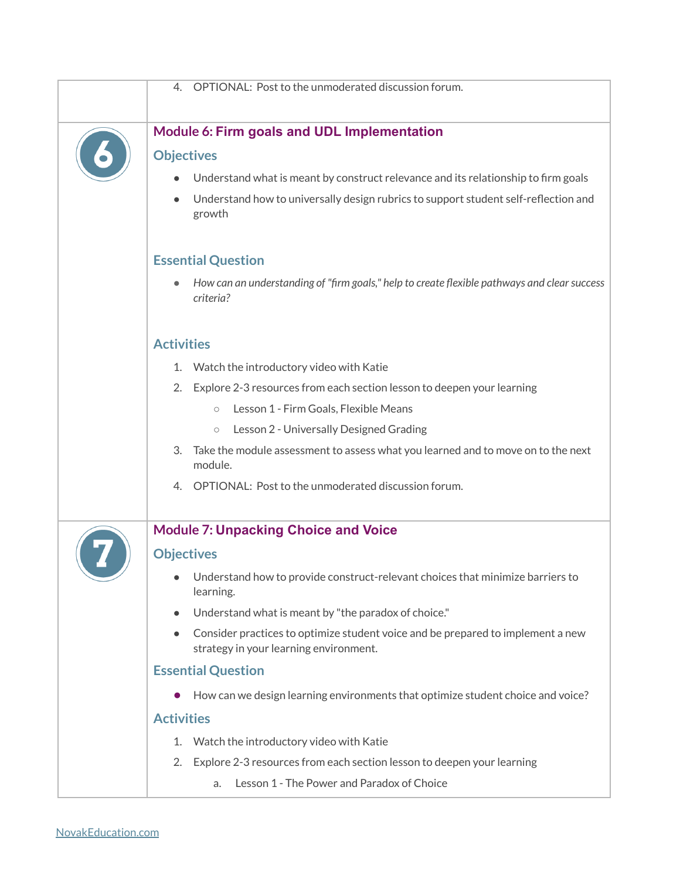| OPTIONAL: Post to the unmoderated discussion forum.<br>4.                                                                              |
|----------------------------------------------------------------------------------------------------------------------------------------|
| Module 6: Firm goals and UDL Implementation                                                                                            |
| <b>Objectives</b>                                                                                                                      |
| Understand what is meant by construct relevance and its relationship to firm goals                                                     |
| Understand how to universally design rubrics to support student self-reflection and<br>$\bullet$<br>growth                             |
| <b>Essential Question</b>                                                                                                              |
| How can an understanding of "firm goals," help to create flexible pathways and clear success<br>criteria?                              |
| <b>Activities</b>                                                                                                                      |
| Watch the introductory video with Katie<br>1.                                                                                          |
| Explore 2-3 resources from each section lesson to deepen your learning<br>2.                                                           |
| Lesson 1 - Firm Goals, Flexible Means<br>$\circlearrowright$                                                                           |
| Lesson 2 - Universally Designed Grading<br>$\bigcirc$                                                                                  |
| Take the module assessment to assess what you learned and to move on to the next<br>3.<br>module.                                      |
| 4. OPTIONAL: Post to the unmoderated discussion forum.                                                                                 |
| <b>Module 7: Unpacking Choice and Voice</b>                                                                                            |
| <b>Objectives</b>                                                                                                                      |
| Understand how to provide construct-relevant choices that minimize barriers to<br>$\bullet$<br>learning.                               |
| Understand what is meant by "the paradox of choice."                                                                                   |
| Consider practices to optimize student voice and be prepared to implement a new<br>$\bullet$<br>strategy in your learning environment. |
| <b>Essential Question</b>                                                                                                              |
| How can we design learning environments that optimize student choice and voice?                                                        |
| <b>Activities</b>                                                                                                                      |
| 1. Watch the introductory video with Katie                                                                                             |
| Explore 2-3 resources from each section lesson to deepen your learning<br>2.                                                           |
| Lesson 1 - The Power and Paradox of Choice<br>a.                                                                                       |